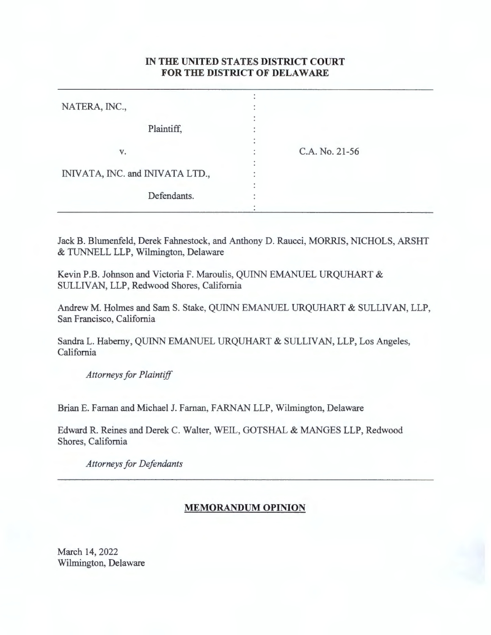## IN **THE UNITED STATES DISTRICT COURT FOR THE DISTRICT OF DELAWARE**

| NATERA, INC.,                   |                |  |
|---------------------------------|----------------|--|
| Plaintiff,                      |                |  |
| V.                              | C.A. No. 21-56 |  |
| INIVATA, INC. and INIVATA LTD., |                |  |
| Defendants.                     |                |  |

Jack B. Blumenfeld, Derek Fahnestock, and Anthony D. Raucci, MORRIS, NICHOLS, ARSHT & TUNNELL LLP, Wilmington, Delaware

Kevin P.B. Johnson and Victoria F. Maroulis, QUINN EMANUEL URQUHART & SULLIVAN, LLP, Redwood Shores, California

Andrew M. Holmes and Sam S. Stake, QUINN EMANUEL URQUHART & SULLIVAN, LLP, San Francisco, California

Sandra L. Haberny, QUINN EMANUEL URQUHART & SULLIVAN, LLP, Los Angeles, California

*Attorneys for Plaintiff* 

Brian E. Farnan and Michael J. Farnan, FARNAN LLP, Wilmington, Delaware

Edward R. Reines and Derek C. Walter, WEIL, GOTSHAL & MANGES LLP, Redwood Shores, California

*Attorneys for Defendants* 

## **MEMORANDUM OPINION**

March 14, 2022 Wilmington, Delaware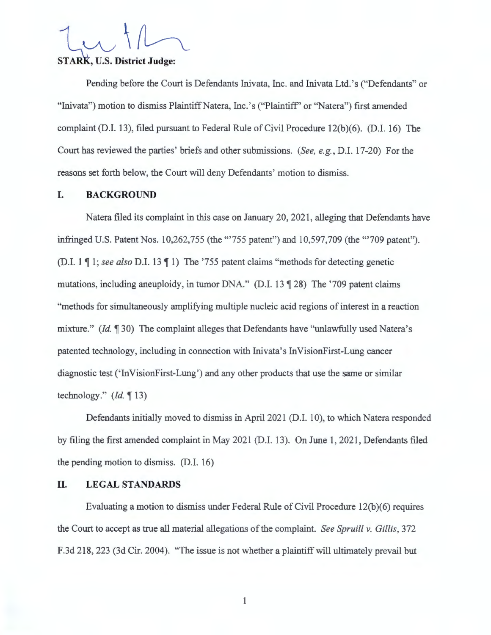# STARK, U.S. District Judge:

Pending before the Court is Defendants Inivata, Inc. and Inivata Ltd. 's ("Defendants" or "Inivata") motion to dismiss Plaintiff Natera, Inc.'s ("Plaintiff" or "Natera") first amended complaint (D.I. 13), filed pursuant to Federal Rule of Civil Procedure 12(b)(6). (D.I. 16) The Court has reviewed the parties' briefs and other submissions. *(See, e.g. ,* D.I. 17-20) For the reasons set forth below, the Court will deny Defendants' motion to dismiss.

### **I. BACKGROUND**

Natera filed its complaint in this case on January 20, 2021, alleging that Defendants have infringed U.S. Patent Nos. 10,262,755 (the '"755 patent") and 10,597,709 (the "'709 patent"). (D.I. 1  $\P$  1; *see also* D.I. 13  $\P$  1) The '755 patent claims "methods for detecting genetic mutations, including aneuploidy, in tumor DNA." (D.I.  $13 \text{ } \textcircled{1}$  28) The '709 patent claims "methods for simultaneously amplifying multiple nucleic acid regions of interest in a reaction mixture." *(Id.* 130) The complaint alleges that Defendants have "unlawfully used Natera's patented technology, including in connection with Inivata's In VisionFirst-Lung cancer diagnostic test ('InVisionFirst-Lung') and any other products that use the same or similar technology." *(Id.* **1** 13)

Defendants initially moved to dismiss in April 2021 **(D.I.** 10), to which Natera responded by filing the first amended complaint in May 2021 (D.I. 13). On June 1, 2021, Defendants filed the pending motion to dismiss. (D.I. 16)

## **II. LEGAL STANDARDS**

Evaluating a motion to dismiss under Federal Rule of Civil Procedure 12(b)(6) requires the Court to accept as true all material allegations of the complaint. *See Spruill v. Gillis,* 372 F.3d 218, 223 (3d Cir. 2004). "The issue is not whether a plaintiff will ultimately prevail but

1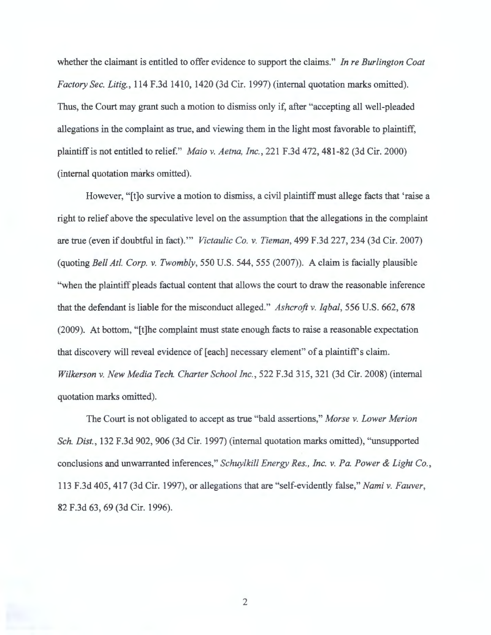whether the claimant is entitled to offer evidence to support the claims." *In re Burlington Coat Factory Sec. Litig. ,* 114 F.3d 1410, 1420 (3d Cir. 1997) (internal quotation marks omitted). Thus, the Court may grant such a motion to dismiss only if, after "accepting all well-pleaded allegations in the complaint as true, and viewing them in the light most favorable to plaintiff, plaintiff is not entitled to relief." *Maio v. Aetna, Inc.,* 221 F .3d 4 72, 481-82 (3d Cir. 2000) (internal quotation marks omitted).

However, "[t]o survive a motion to dismiss, a civil plaintiff must allege facts that 'raise a right to relief above the speculative level on the assumption that the allegations in the complaint are true (even if doubtful in fact). "' *Victaulic Co. v. Tieman,* 499 F.3d 227,234 (3d Cir. 2007) (quoting *Bell At!. Corp. v. Twombly,* 550 U.S. 544, 555 (2007)). A claim is facially plausible "when the plaintiff pleads factual content that allows the court to draw the reasonable inference that the defendant is liable for the misconduct alleged." *Ashcroft v. Iqbal,* 556 U.S. 662, 678 (2009). At bottom, "[t]he complaint must state enough facts to raise a reasonable expectation that discovery will reveal evidence of [each] necessary element" of a plaintiff's claim. *Wilkerson v. New Media Tech. Charter School Inc. ,* 522 F.3d 315, 321 (3d Cir. 2008) (internal quotation marks omitted).

The Court is not obligated to accept as true "bald assertions," *Morse v. Lower Merion Sch. Dist.,* 132 F .3d 902, 906 (3d Cir. 1997) (internal quotation marks omitted), "unsupported conclusions and unwarranted inferences," *Schuylkill Energy Res., Inc. v. Pa. Power & Light Co. ,*  113 F.3d 405,417 (3d Cir. 1997), or allegations that are "self-evidently false," *Nami v. Fauver,*  82 F.3d 63, 69 (3d Cir. 1996).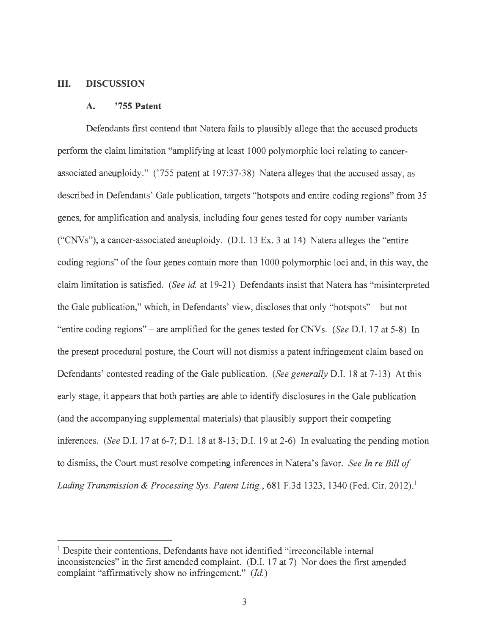### **III. DISCUSSION**

#### **A. '755 Patent**

Defendants first contend that Natera fails to plausibly allege that the accused products perform the claim limitation "amplifying at least 1000 polymorphic loci relating to cancerassociated aneuploidy." ('755 patent at 197:37-38) Natera alleges that the accused assay, as described in Defendants' Gale publication, targets "hotspots and entire coding regions" from 35 genes, for amplification and analysis, including four genes tested for copy number variants ("CNVs"), a cancer-associated aneuploidy. (D.I. 13 Ex. 3 at 14) Natera alleges the "entire coding regions" of the four genes contain more than 1000 polymorphic loci and, in this way, the claim limitation is satisfied. *(See id.* at 19-21) Defendants insist that Natera has "misinterpreted the Gale publication," which, in Defendants' view, discloses that only "hotspots" - but not "entire coding regions" - are amplified for the genes tested for CNVs. *(See* D.I. 17 at 5-8) In the present procedural posture, the Court will not dismiss a patent infringement claim based on Defendants' contested reading of the Gale publication. *(See generally* D.I. 18 at 7-13) At this early stage, it appears that both parties are able to identify disclosures in the Gale publication ( and the accompanying supplemental materials) that plausibly support their competing inferences. *(See D.I. 17 at 6-7; D.I. 18 at 8-13; D.I. 19 at 2-6)* In evaluating the pending motion to dismiss, the Court must resolve competing inferences in Natera's favor. *See In re Bill of*  Lading Transmission & Processing Sys. Patent Litig., 681 F.3d 1323, 1340 (Fed. Cir. 2012).<sup>1</sup>

<sup>&</sup>lt;sup>1</sup> Despite their contentions, Defendants have not identified "irreconcilable internal inconsistencies" in the first amended complaint. (D.I. 17 at 7) Nor does the first amended complaint "affirmatively show no infringement." *(Id. )*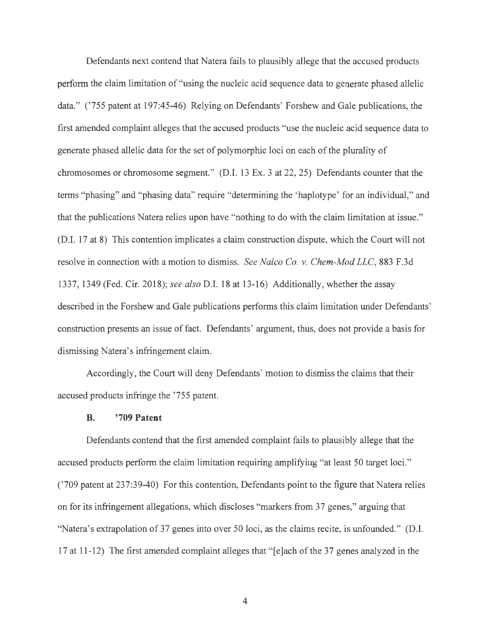Defendants next contend that Natera fails to plausibly allege that the accused products perform the claim limitation of "using the nucleic acid sequence data to generate phased allelic data." ('755 patent at 197:45-46) Relying on Defendants' Forshew and Gale publications, the first amended complaint alleges that the accused products "use the nucleic acid sequence data to generate phased allelic data for the set of polymorphic loci on each of the plurality of chromosomes or chromosome segment." (D.I. 13 Ex. 3 at 22, 25) Defendants counter that the terms "phasing" and "phasing data" require "determining the 'haplotype' for an individual," and that the publications Natera relies upon have "nothing to do with the claim limitation at issue." (D.I. 17 at 8) This contention implicates a claim construction dispute, which the Court will not resolve in connection with a motion to dismiss. *See Nalco Co. v. Chem-Mod LLC,* 883 F.3d 1337, 1349 (Fed. Cir. 2018); *see also* D.I. 18 at 13-16) Additionally, whether the assay described in the Forshew and Gale publications performs this claim limitation under Defendants' construction presents an issue of fact. Defendants' argument, thus, does not provide a basis for dismissing Natera's infringement claim.

Accordingly, the Court will deny Defendants' motion to dismiss the claims that their accused products infringe the '755 patent.

#### **B. '709 Patent**

Defendants contend that the first amended complaint fails to plausibly allege that the accused products perform the claim limitation requiring amplifying "at least 50 target loci." ('709 patent at 237:39-40) For this contention, Defendants point to the figure that Natera relies on for its infringement allegations, which discloses "markers from 37 genes," arguing that "Natera's extrapolation of 37 genes into over 50 loci, as the claims recite, is unfounded." (D.I. 17 at 11-12) The first amended complaint alleges that " [e]ach of the 37 genes analyzed in the

4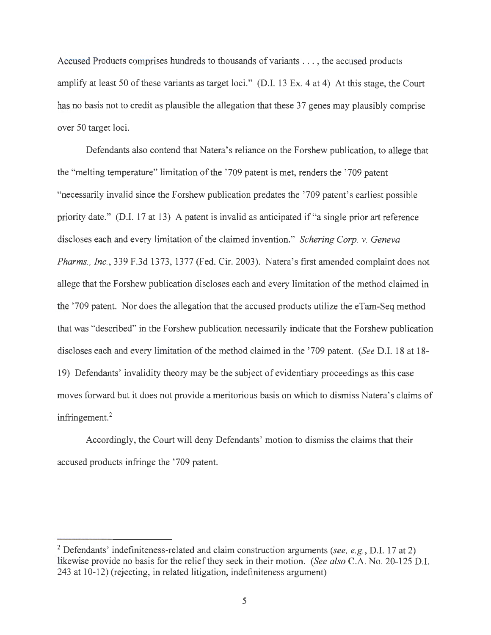Accused Products comprises hundreds to thousands of variants ... , the accused products amplify at least 50 of these variants as target loci." (D.I. 13 Ex. 4 at 4) At this stage, the Court has no basis not to credit as plausible the allegation that these 37 genes may plausibly comprise over 50 target loci.

Defendants also contend that Natera's reliance on the Forshew publication, to allege that the "melting temperature" limitation of the ' 709 patent is met, renders the '709 patent "necessarily invalid since the Forshew publication predates the '709 patent's earliest possible priority date." (D.I. 17 at 13) A patent is invalid as anticipated if "a single prior art reference discloses each and every limitation of the claimed invention." *Schering Corp. v. Geneva Pharms. , Inc.,* 339 F.3d 1373, 1377 (Fed. Cir. 2003). Natera's first amended complaint does not allege that the Forshew publication discloses each and every limitation of the method claimed in the '709 patent. Nor does the allegation that the accused products utilize the eTam-Seq method that was "described" in the Forshew publication necessarily indicate that the Forshew publication discloses each and every limitation of the method claimed in the '709 patent. *(See* D.I. 18 at 18- 19) Defendants' invalidity theory may be the subject of evidentiary proceedings as this case moves forward but it does not provide a meritorious basis on which to dismiss Natera's claims of infringement.<sup>2</sup>

Accordingly, the Court will deny Defendants' motion to dismiss the claims that their accused products infringe the '709 patent.

<sup>2</sup> Defendants' indefiniteness-related and claim construction arguments *(see, e.g.,* D.I. 17 at 2) likewise provide no basis for the relief they seek in their motion. *(See also* C.A. No. 20-125 D.I. 243 at 10-12) (rejecting, in related litigation, indefiniteness argument)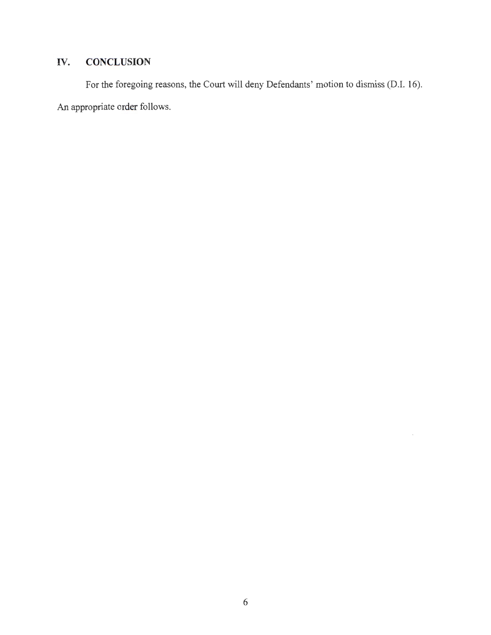# **IV. CONCLUSION**

For the foregoing reasons, the Court will deny Defendants' motion to dismiss (D.I. 16). An appropriate order follows.